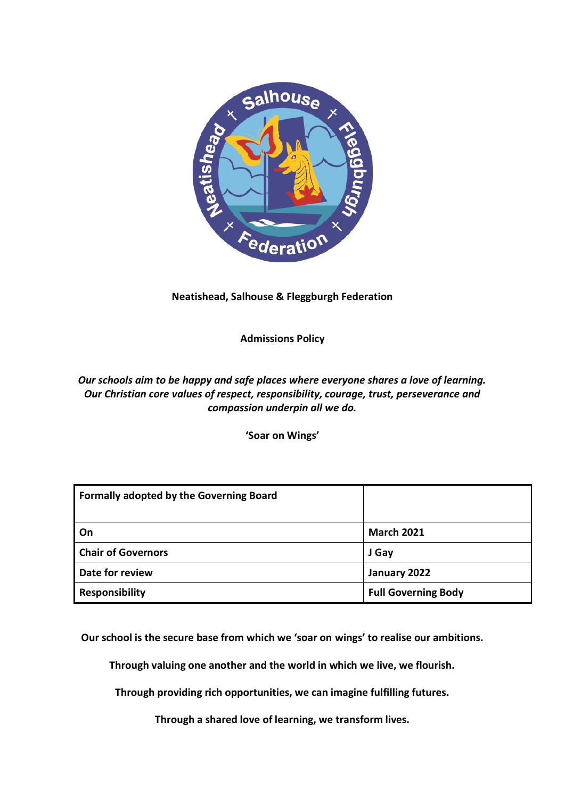

# **Neatishead, Salhouse & Fleggburgh Federation**

**Admissions Policy**

# *Our schools aim to be happy and safe places where everyone shares a love of learning. Our Christian core values of respect, responsibility, courage, trust, perseverance and compassion underpin all we do.*

**'Soar on Wings'**

| <b>Formally adopted by the Governing Board</b> |                            |
|------------------------------------------------|----------------------------|
| On                                             | <b>March 2021</b>          |
| <b>Chair of Governors</b>                      | J Gay                      |
| Date for review                                | January 2022               |
| <b>Responsibility</b>                          | <b>Full Governing Body</b> |

**Our school is the secure base from which we 'soar on wings' to realise our ambitions.**

**Through valuing one another and the world in which we live, we flourish.**

**Through providing rich opportunities, we can imagine fulfilling futures.**

**Through a shared love of learning, we transform lives.**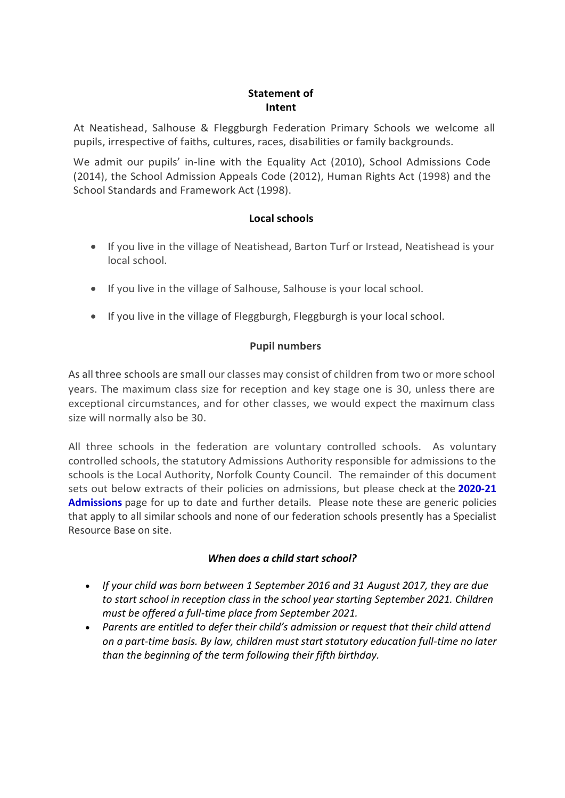### **Statement of Intent**

At Neatishead, Salhouse & Fleggburgh Federation Primary Schools we welcome all pupils, irrespective of faiths, cultures, races, disabilities or family backgrounds.

We admit our pupils' in-line with the Equality Act (2010), School Admissions Code (2014), the School Admission Appeals Code (2012), Human Rights Act (1998) and the School Standards and Framework Act (1998).

### **Local schools**

- If you live in the village of Neatishead, Barton Turf or Irstead, Neatishead is your local school.
- If you live in the village of Salhouse, Salhouse is your local school.
- If you live in the village of Fleggburgh, Fleggburgh is your local school.

# **Pupil numbers**

As all three schools are small our classes may consist of children from two or more school years. The maximum class size for reception and key stage one is 30, unless there are exceptional circumstances, and for other classes, we would expect the maximum class size will normally also be 30.

All three schools in the federation are voluntary controlled schools. As voluntary controlled schools, the statutory Admissions Authority responsible for admissions to the schools is the Local Authority, Norfolk County Council. The remainder of this document sets out below extracts of their policies on admissions, but please check at the **[2020-21](https://www.norfolk.gov.uk/education-and-learning/schools/school-admissions/norfolk-admission-arrangements-2018-19) [Admissions](https://www.norfolk.gov.uk/education-and-learning/schools/school-admissions/norfolk-admission-arrangements-2018-19)** page for up to date and further details. Please note these are generic policies that apply to all similar schools and none of our federation schools presently has a Specialist Resource Base on site.

### *When does a child start school?*

- *If your child was born between 1 September 2016 and 31 August 2017, they are due to start school in reception class in the school year starting September 2021. Children must be offered a full-time place from September 2021.*
- *Parents are entitled to defer their child's admission or request that their child attend on a part-time basis. By law, children must start statutory education full-time no later than the beginning of the term following their fifth birthday.*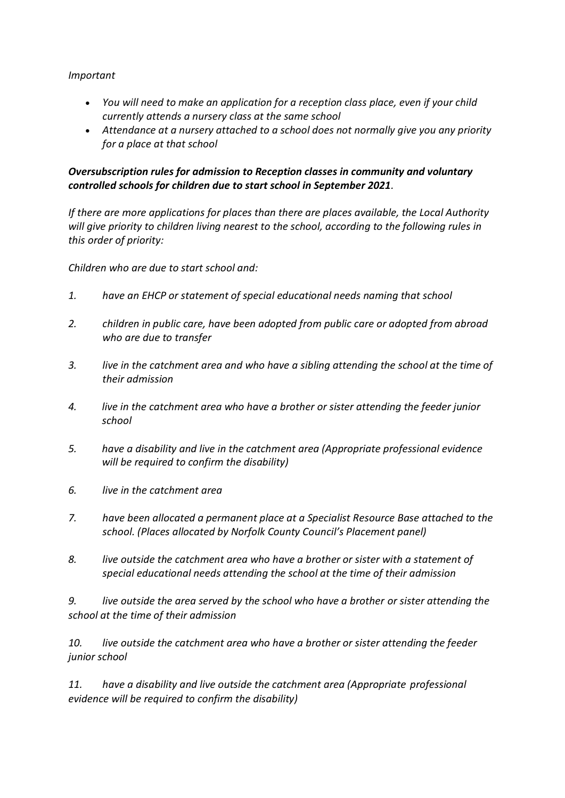#### *Important*

- *You will need to make an application for a reception class place, even if your child currently attends a nursery class at the same school*
- *Attendance at a nursery attached to a school does not normally give you any priority for a place at that school*

# *Oversubscription rules for admission to Reception classes in community and voluntary controlled schools for children due to start school in September 2021.*

*If there are more applications for places than there are places available, the Local Authority will give priority to children living nearest to the school, according to the following rules in this order of priority:*

*Children who are due to start school and:*

- *1. have an EHCP or statement of special educational needs naming that school*
- *2. children in public care, have been adopted from public care or adopted from abroad who are due to transfer*
- *3. live in the catchment area and who have a sibling attending the school at the time of their admission*
- *4. live in the catchment area who have a brother or sister attending the feeder junior school*
- *5. have a disability and live in the catchment area (Appropriate professional evidence will be required to confirm the disability)*
- *6. live in the catchment area*
- *7. have been allocated a permanent place at a Specialist Resource Base attached to the school. (Places allocated by Norfolk County Council's Placement panel)*
- *8. live outside the catchment area who have a brother or sister with a statement of special educational needs attending the school at the time of their admission*

*9. live outside the area served by the school who have a brother or sister attending the school at the time of their admission*

*10. live outside the catchment area who have a brother or sister attending the feeder junior school*

*11. have a disability and live outside the catchment area (Appropriate professional evidence will be required to confirm the disability)*